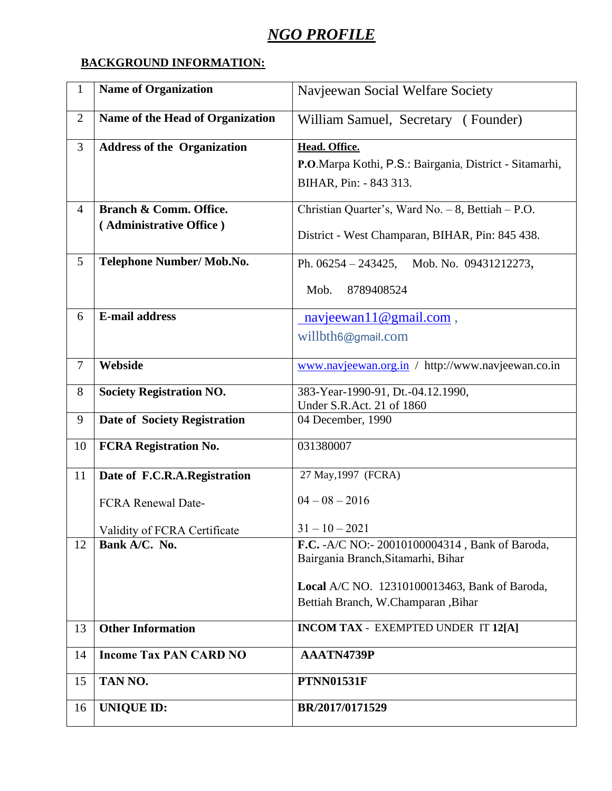## *NGO PROFILE*

## **BACKGROUND INFORMATION:**

| $\mathbf{1}$   | <b>Name of Organization</b>        | Navjeewan Social Welfare Society                        |
|----------------|------------------------------------|---------------------------------------------------------|
| $\overline{2}$ | Name of the Head of Organization   | William Samuel, Secretary (Founder)                     |
| 3              | <b>Address of the Organization</b> | Head. Office.                                           |
|                |                                    | P.O.Marpa Kothi, P.S.: Bairgania, District - Sitamarhi, |
|                |                                    | BIHAR, Pin: - 843 313.                                  |
| $\overline{4}$ | Branch & Comm. Office.             | Christian Quarter's, Ward No. - 8, Bettiah - P.O.       |
|                | (Administrative Office)            | District - West Champaran, BIHAR, Pin: 845 438.         |
| 5              | Telephone Number/ Mob.No.          | Mob. No. 09431212273,<br>Ph. $06254 - 243425$ ,         |
|                |                                    | Mob.<br>8789408524                                      |
| 6              | <b>E-mail address</b>              | $\text{navjeewan11@gmail.com}$ ,                        |
|                |                                    | willbth6@gmail.com                                      |
|                |                                    |                                                         |
| $\overline{7}$ | Webside                            | www.navjeewan.org.in / http://www.navjeewan.co.in       |
| 8              | <b>Society Registration NO.</b>    | 383-Year-1990-91, Dt.-04.12.1990,                       |
|                |                                    | Under S.R.Act. 21 of 1860                               |
| 9              | Date of Society Registration       | 04 December, 1990                                       |
| 10             | <b>FCRA Registration No.</b>       | 031380007                                               |
| 11             | Date of F.C.R.A.Registration       | 27 May, 1997 (FCRA)                                     |
|                | <b>FCRA Renewal Date-</b>          | $04 - 08 - 2016$                                        |
|                | Validity of FCRA Certificate       | $31 - 10 - 2021$                                        |
| 12             | Bank A/C. No.                      | F.C. -A/C NO:- 20010100004314, Bank of Baroda,          |
|                |                                    | Bairgania Branch, Sitamarhi, Bihar                      |
|                |                                    | Local A/C NO. 12310100013463, Bank of Baroda,           |
|                |                                    | Bettiah Branch, W.Champaran, Bihar                      |
|                | <b>Other Information</b>           | <b>INCOM TAX - EXEMPTED UNDER IT 12[A]</b>              |
| 13             |                                    |                                                         |
| 14             | <b>Income Tax PAN CARD NO</b>      | AAATN4739P                                              |
| 15             | TAN NO.                            | <b>PTNN01531F</b>                                       |
| 16             | <b>UNIQUE ID:</b>                  | BR/2017/0171529                                         |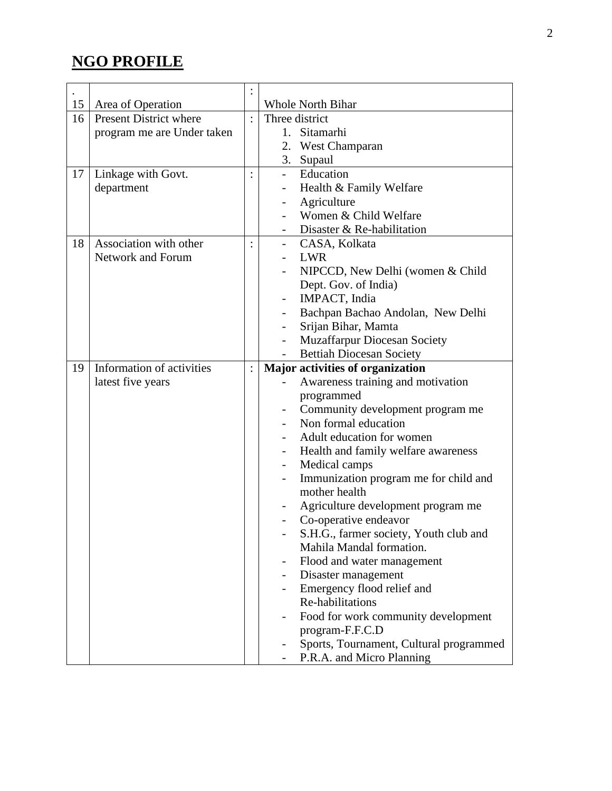## **NGO PROFILE**

| 15 | Area of Operation             |                | <b>Whole North Bihar</b>                  |
|----|-------------------------------|----------------|-------------------------------------------|
| 16 | <b>Present District where</b> |                | Three district                            |
|    | program me are Under taken    |                | 1.<br>Sitamarhi                           |
|    |                               |                | 2.<br><b>West Champaran</b>               |
|    |                               |                | 3. Supaul                                 |
| 17 | Linkage with Govt.            | $\ddot{\cdot}$ | Education                                 |
|    | department                    |                | Health & Family Welfare                   |
|    |                               |                | Agriculture                               |
|    |                               |                | Women & Child Welfare                     |
|    |                               |                | Disaster & Re-habilitation                |
| 18 | Association with other        | $\ddot{\cdot}$ | CASA, Kolkata<br>$\overline{\phantom{0}}$ |
|    | <b>Network and Forum</b>      |                | <b>LWR</b>                                |
|    |                               |                | NIPCCD, New Delhi (women & Child          |
|    |                               |                | Dept. Gov. of India)                      |
|    |                               |                | IMPACT, India                             |
|    |                               |                | Bachpan Bachao Andolan, New Delhi         |
|    |                               |                | Srijan Bihar, Mamta                       |
|    |                               |                | Muzaffarpur Diocesan Society              |
|    |                               |                | <b>Bettiah Diocesan Society</b>           |
| 19 | Information of activities     | $\ddot{\cdot}$ | Major activities of organization          |
|    | latest five years             |                | Awareness training and motivation         |
|    |                               |                | programmed                                |
|    |                               |                | Community development program me          |
|    |                               |                | Non formal education                      |
|    |                               |                | Adult education for women                 |
|    |                               |                | Health and family welfare awareness       |
|    |                               |                | Medical camps                             |
|    |                               |                | Immunization program me for child and     |
|    |                               |                | mother health                             |
|    |                               |                | Agriculture development program me        |
|    |                               |                | Co-operative endeavor                     |
|    |                               |                | S.H.G., farmer society, Youth club and    |
|    |                               |                | Mahila Mandal formation.                  |
|    |                               |                | Flood and water management                |
|    |                               |                | Disaster management                       |
|    |                               |                | Emergency flood relief and                |
|    |                               |                | Re-habilitations                          |
|    |                               |                | Food for work community development       |
|    |                               |                | program-F.F.C.D                           |
|    |                               |                | Sports, Tournament, Cultural programmed   |
|    |                               |                | P.R.A. and Micro Planning                 |